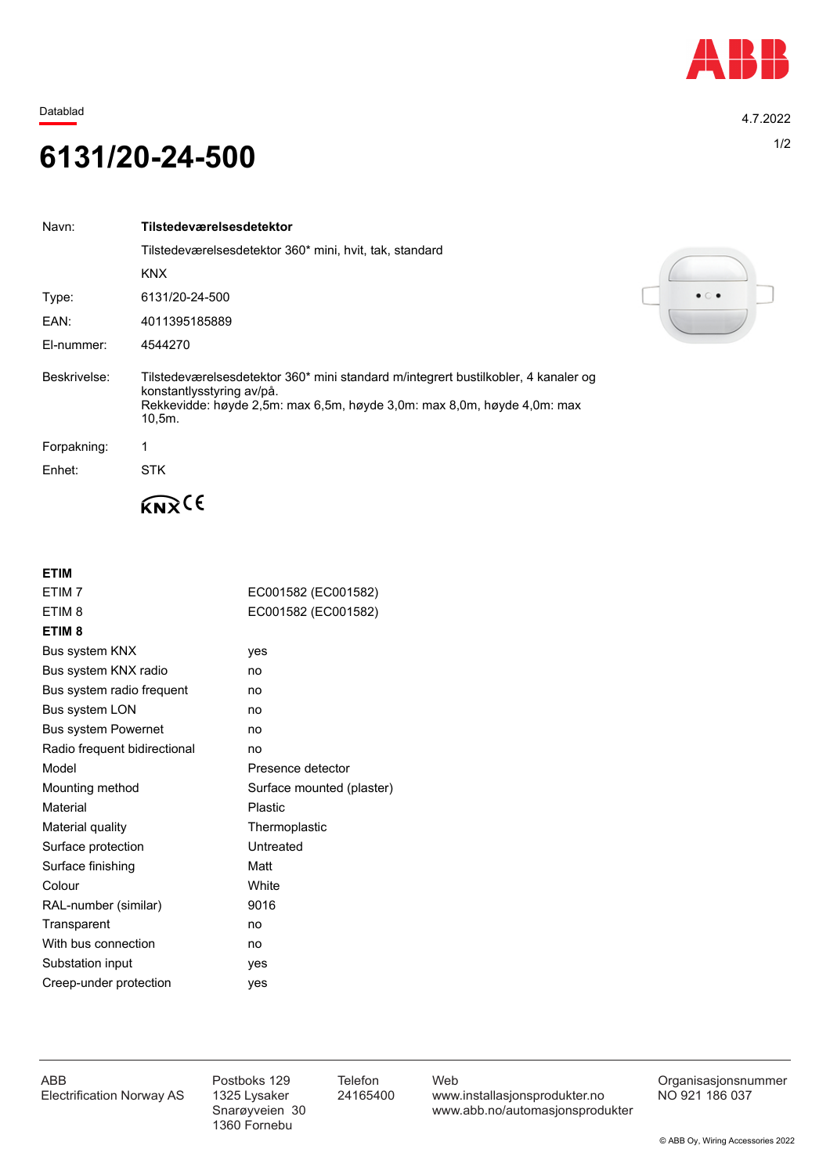

Datablad 4.7.2022

## 1/2 **6131/20-24-500**

| Navn:        | Tilstedeværelsesdetektor                                                                                                                                                                                |
|--------------|---------------------------------------------------------------------------------------------------------------------------------------------------------------------------------------------------------|
|              | Tilstedeværelsesdetektor 360* mini, hvit, tak, standard                                                                                                                                                 |
|              | <b>KNX</b>                                                                                                                                                                                              |
| Type:        | 6131/20-24-500                                                                                                                                                                                          |
| EAN:         | 4011395185889                                                                                                                                                                                           |
| El-nummer:   | 4544270                                                                                                                                                                                                 |
| Beskrivelse: | Tilstedeværelsesdetektor 360* mini standard m/integrert bustilkobler, 4 kanaler og<br>konstantlysstyring av/på.<br>Rekkevidde: høyde 2,5m: max 6,5m, høyde 3,0m: max 8,0m, høyde 4,0m: max<br>$10,5m$ . |
| Forpakning:  |                                                                                                                                                                                                         |
| Enhet:       | <b>STK</b>                                                                                                                                                                                              |
|              |                                                                                                                                                                                                         |

**ETIM**

| ETIM <sub>7</sub>            | EC001582 (EC001582)       |
|------------------------------|---------------------------|
| ETIM <sub>8</sub>            | EC001582 (EC001582)       |
| ETIM <sub>8</sub>            |                           |
| Bus system KNX               | yes                       |
| Bus system KNX radio         | no                        |
| Bus system radio frequent    | no                        |
| <b>Bus system LON</b>        | no                        |
| <b>Bus system Powernet</b>   | no                        |
| Radio frequent bidirectional | no                        |
| Model                        | Presence detector         |
| Mounting method              | Surface mounted (plaster) |
| Material                     | Plastic                   |
| Material quality             | Thermoplastic             |
| Surface protection           | Untreated                 |
| Surface finishing            | Matt                      |
| Colour                       | <b>White</b>              |
| RAL-number (similar)         | 9016                      |
| Transparent                  | no                        |
| With bus connection          | no                        |
| Substation input             | yes                       |
| Creep-under protection       | yes                       |
|                              |                           |



1360 Fornebu

ABB Postboks 129 Telefon Web Postboks 129 Telefon Web Crganisasjonsnummer<br>Electrification Norway AS 1325 Lysaker 24165400 www.installasjonsprodukter.no NO 921 186 037 1325 Lysaker 24165400 www.installasjonsprodukter.no<br>Snarøyveien 30 www.abb.no/automasjonsprodu www.abb.no/automasjonsprodukter